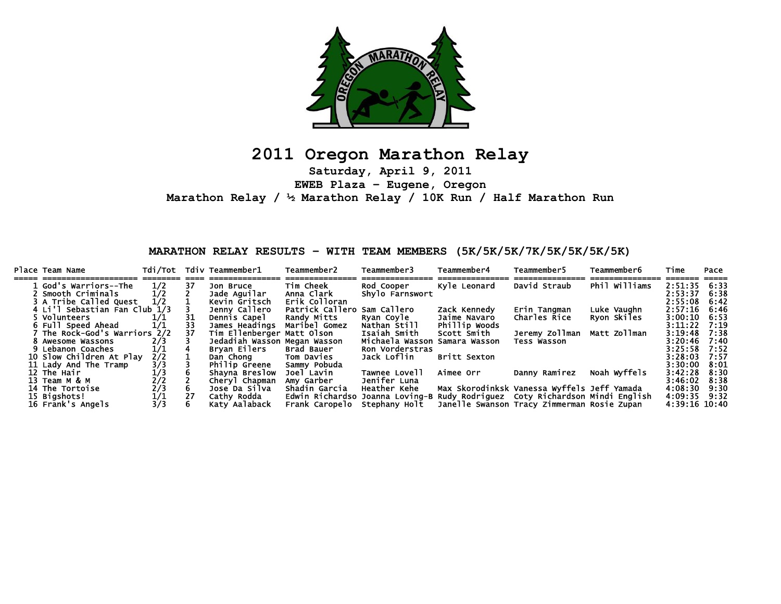

## **2011 Oregon Marathon Relay**

**Saturday, April 9, 2011 EWEB Plaza – Eugene, Oregon Marathon Relay / ½ Marathon Relay / 10K Run / Half Marathon Run** 

**MARATHON RELAY RESULTS – WITH TEAM MEMBERS (5K/5K/5K/7K/5K/5K/5K/5K)** 

| Place Team Name               | Tdi/Tot       |    | Tdiv Teammember1             | Teammember2                  | Teammember3                                                                  | Teammember4                                 | Teammember5                                 | <b>Teammember6</b> | Time           | Pace |
|-------------------------------|---------------|----|------------------------------|------------------------------|------------------------------------------------------------------------------|---------------------------------------------|---------------------------------------------|--------------------|----------------|------|
| 1 God's Warriors--The         | 1/2           | 37 | Jon Bruce                    | <b>Tim Cheek</b>             | Rod Cooper                                                                   | Kyle Leonard                                | David Straub                                | Phil Williams      | $2:51:35$ 6:33 |      |
| 2 Smooth Criminals            | 1/2           |    | Jade Aguilar                 | Anna Clark                   | Shylo Farnswort                                                              |                                             |                                             |                    | 2:53:37        | 6:38 |
| 3 A Tribe Called Ouest        | 1/2           |    | Kevin Gritsch                | Erik Colloran                |                                                                              |                                             |                                             |                    | 2:55:08        | 6:42 |
| 4 Li'l Sebastian Fan Club 1/3 |               |    | Jenny Callero                | Patrick Callero Sam Callero  |                                                                              | Zack Kennedy                                | Erin Tangman                                | Luke Vaughn        | 2:57:16        | 6:46 |
| 5 Volunteers                  |               | 31 | Dennis Capel                 | Randy Mitts                  | Ryan Coyle                                                                   | Jaime Navaro                                | Charles Rice                                | Ryon Skiles        | 3:00:10        | 6:53 |
| 6 Full Speed Ahead            | 1/1           | 33 | James Headings               | Maribel Gomez                | Nathan Still                                                                 | Phillip Woods                               |                                             |                    | 3:11:22        | 7.19 |
| The Rock-God's Warriors       | 2/2           | 37 | Tim Ellenberger Matt Olson   |                              | Isaiah Smith                                                                 | Scott Smith                                 | Jeremy Zollman  Matt Zollman                |                    | 3:19:48        | 7:38 |
| 8 Awesome Wassons             |               |    | Jedadiah Wasson Megan Wasson |                              | Michaela Wasson                                                              | Samara Wasson                               | <b>Tess Wasson</b>                          |                    | 3:20:46        | 7:40 |
| 9 Lebanon Coaches             | 1/1           |    | Brvan Eilers                 | Brad Bauer                   | Ron Vorderstras                                                              |                                             |                                             |                    | 3:25:58        | 7:52 |
| 10 Slow Children At Play      | 2/2           |    | Dan Chong                    | Tom Davies                   | Jack Loflin                                                                  | <b>Britt Sexton</b>                         |                                             |                    | 3:28:03        | 7:57 |
| 11 Lady And The Tramp         |               |    | Philip Greene                | Sammy Pobuda                 |                                                                              |                                             |                                             |                    | 3:30:00        | 8:01 |
| 12 The Hair                   | $\frac{3}{3}$ |    | Shavna Breslow               | Joel Lavin                   | Tawnee Lovell                                                                | Aimee Orr                                   | Danny Ramirez                               | Noah Wyffels       | $3:42:28$ 8:30 |      |
| 13 Team M & M                 | 2/2           |    | Cheryl Chapman               | Amy Garber                   | Jenifer Luna                                                                 |                                             |                                             |                    | 3:46:02        | 8:38 |
| 14 The Tortoise               | 2/3           | 6. | Jose Da Silva                | Shadin Garcia                | Heather Kehe                                                                 | Max Skorodinksk Vanessa Wyffels Jeff Yamada |                                             |                    | 4:08:30        | 9:30 |
| 15 Bigshots!                  | 1/1           | 27 | Cathy Rodda                  |                              | Edwin Richardso Joanna Loving-B Rudy Rodriquez Coty Richardson Mindi English |                                             |                                             |                    | 4:09:35 9:32   |      |
| 16 Frank's Angels             | 3/3           |    | Katy Aalaback                | Frank Caropelo Stephany Holt |                                                                              |                                             | Janelle Swanson Tracy Zimmerman Rosie Zupan |                    | 4:39:16 10:40  |      |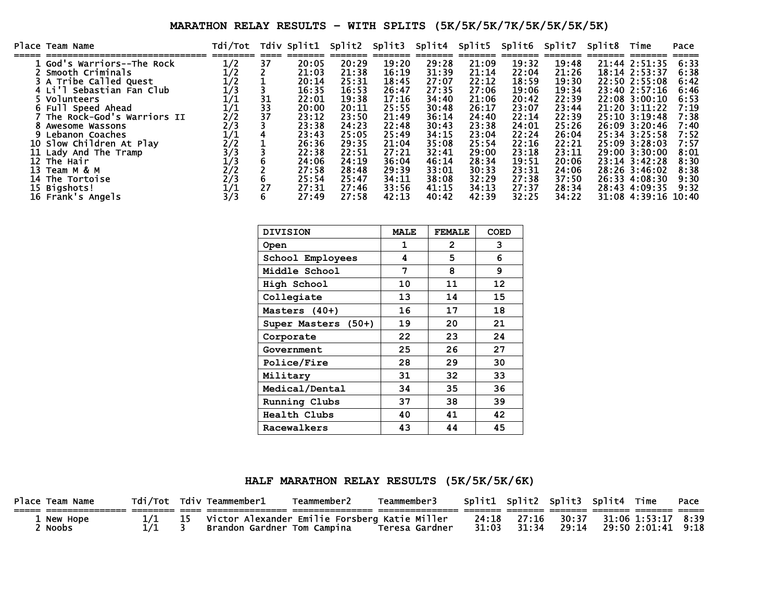## **MARATHON RELAY RESULTS – WITH SPLITS (5K/5K/5K/7K/5K/5K/5K/5K)**

|    | Place Team Name            | Tdi/Tot                     |    | Tdiv Split1 | Split2 | Split3 | Split4 | Split5 Split6 |       | Split7 | Split8 | Time                  | Pace |
|----|----------------------------|-----------------------------|----|-------------|--------|--------|--------|---------------|-------|--------|--------|-----------------------|------|
|    |                            |                             |    |             | 20:29  | 19:20  | 29:28  | 21:09         | 19:32 | 19:48  |        |                       |      |
|    | God's Warriors--The Rock   | 1/2                         | 37 | 20:05       |        |        |        |               |       |        |        | 21:44 2:51:35         | 6:33 |
|    | Smooth Criminals           | 1/2                         |    | 21:03       | 21:38  | 16:19  | 31:39  | 21:14         | 22:04 | 21:26  |        | $18:14$ $2:53:37$     | 6:38 |
|    | 3 A Tribe Called Quest     | 1/2                         |    | 20:14       | 25:31  | 18:45  | 27:07  | 22:12         | 18:59 | 19:30  |        | 22:50 2:55:08         | 6:42 |
|    | 4 Li'l Sebastian Fan Club  | $\overline{1}/\overline{3}$ |    | 16:35       | 16:53  | 26:47  | 27:35  | 27:06         | 19:06 | 19:34  |        | 23:40 2:57:16         | 6:46 |
|    | Volunteers                 | $1\!/1$                     | 31 | 22:01       | 19:38  | 17:16  | 34:40  | 21:06         | 20:42 | 22:39  |        | 22:08 3:00:10         | 6:53 |
|    | Full Speed Ahead           | $1\!/1$                     | 33 | 20:00       | 20:11  | 25:55  | 30:48  | 26:17         | 23:07 | 23:44  |        | 21:20 3:11:22         | 7:19 |
|    | The Rock-God's Warriors II | 2/2                         | 37 | 23:12       | 23:50  | 21:49  | 36:14  | 24:40         | 22:14 | 22:39  |        | $25:10 \cdot 3:19:48$ | 7:38 |
|    | Awesome Wassons            | 2/3                         |    | 23:38       | 24:23  | 22:48  | 30:43  | 23:38         | 24:01 | 25:26  |        | 26:09 3:20:46         | 7:40 |
|    | 9 Lebanon Coaches          | $1\!/1$                     |    | 23:43       | 25:05  | 25:49  | 34:15  | 23:04         | 22:24 | 26:04  |        | $25:34$ $3:25:58$     | 7:52 |
|    | 10 Slow Children At Play   | 2/2                         |    | 26:36       | 29:35  | 21:04  | 35:08  | 25:54         | 22:16 | 22:21  |        | 25:09 3:28:03         | 7:57 |
|    | 11 Lady And The Tramp      | 3/3                         |    | 22:38       | 22:51  | 27:21  | 32:41  | 29:00         | 23:18 | 23:11  |        | 29:00 3:30:00         | 8:01 |
|    | 12 The Hair                | 1/3                         |    | 24:06       | 24:19  | 36:04  | 46:14  | 28:34         | 19:51 | 20:06  |        | $23:14$ $3:42:28$     | 8:30 |
| 13 | теат м & м                 | 2/2<br>2/3                  |    | 27:58       | 28:48  | 29:39  | 33:01  | 30:33         | 23:31 | 24:06  |        | 28:26 3:46:02         | 8:38 |
| 14 | The Tortoise               |                             |    | 25:54       | 25:47  | 34:11  | 38:08  | 32:29         | 27:38 | 37:50  |        | 26:33 4:08:30         | 9:30 |
|    | 15 Bigshots!               | 1/1                         | 27 | 27:31       | 27:46  | 33:56  | 41:15  | 34:13         | 27:37 | 28:34  |        | 28:43 4:09:35         | 9:32 |
|    | 16 Frank's Angels          | 3/3                         |    | 27:49       | 27:58  | 42:13  | 40:42  | 42:39         | 32:25 | 34:22  |        | 31:08 4:39:16 10:40   |      |

| <b>DIVISION</b>     | <b>MALE</b> | <b>FEMALE</b> | <b>COED</b> |
|---------------------|-------------|---------------|-------------|
| <b>Open</b>         | 1           | 2             | 3           |
| School Employees    | 4           | 5             | 6           |
| Middle School       | 7           | 8             | 9           |
| <b>High School</b>  | 10          | 11            | 12          |
| Collegiate          | 13          | 14            | 15          |
| Masters (40+)       | 16          | 17            | 18          |
| Super Masters (50+) | 19          | 20            | 21          |
| Corporate           | 22          | 23            | 24          |
| Government          | 25          | 26            | 27          |
| Police/Fire         | 28          | 29            | 30          |
| Military            | 31          | 32            | 33          |
| Medical/Dental      | 34          | 35            | 36          |
| Running Clubs       | 37          | 38            | 39          |
| Health Clubs        | 40          | 41            | 42          |
| Racewalkers         | 43          | 44            | 45          |

**HALF MARATHON RELAY RESULTS (5K/5K/5K/6K)** 

| Place Team Name | Tdi/Tot | Tdiv Teammember1 Tdiv                         | Teammember2 | Teammember3    | Split1 Split2 Split3 Split4 Time |       |       |                    | Pace |
|-----------------|---------|-----------------------------------------------|-------------|----------------|----------------------------------|-------|-------|--------------------|------|
|                 |         |                                               |             |                |                                  |       |       |                    |      |
| 1 New Hope      |         | Victor Alexander Emilie Forsberg Katie Miller |             |                | 24:18                            | 27:16 | 30:37 | 31:06 1:53:17 8:39 |      |
| Noobs           |         | Brandon Gardner Tom Campina                   |             | Teresa Gardner | 31:03                            | 31:34 | 29:14 | 29:50 2:01:41      | 9:18 |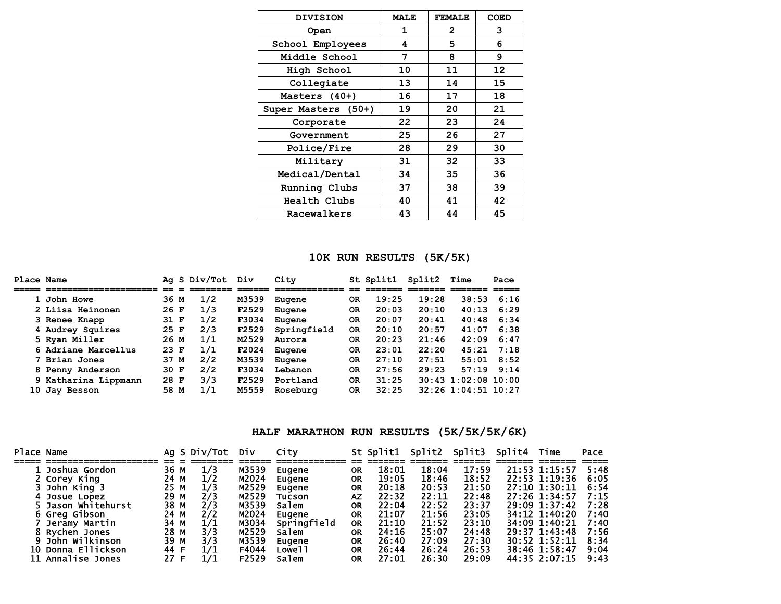| <b>DIVISION</b>     | <b>MALE</b> | <b>FEMALE</b> | COED              |
|---------------------|-------------|---------------|-------------------|
| <b>Open</b>         | 1           | $\mathbf{2}$  | 3                 |
| School Employees    | 4           | 5             | 6                 |
| Middle School       | 7           | 8             | 9                 |
| High School         | 10          | 11            | $12 \overline{ }$ |
| Collegiate          | 13          | 14            | 15                |
| Masters (40+)       | 16          | 17            | 18                |
| Super Masters (50+) | 19          | 20            | 21                |
| Corporate           | 22          | 23            | 24                |
| Government          | 25          | 26            | 27                |
| <b>Police/Fire</b>  | 28          | 29            | 30                |
| Military            | 31          | 32            | 33                |
| Medical/Dental      | 34          | 35            | 36                |
| Running Clubs       | 37          | 38            | 39                |
| <b>Health Clubs</b> | 40          | 41            | 42                |
| Racewalkers         | 43          | 44            | 45                |

## **10K RUN RESULTS (5K/5K)**

|    | Place Name           |        | Ag S Div/Tot | Div   | City        |                | St Split1 | Split2 | Time                  | Pace |
|----|----------------------|--------|--------------|-------|-------------|----------------|-----------|--------|-----------------------|------|
|    |                      |        |              |       |             |                |           |        |                       |      |
|    | 1 John Howe          | 36 M   | 1/2          | M3539 | Eugene      | <b>OR</b>      | 19:25     | 19:28  | 38:53                 | 6:16 |
|    | 2 Liisa Heinonen     | 26 F   | 1/3          | F2529 | Eugene      | 0R             | 20:03     | 20:10  | 40:13                 | 6:29 |
|    | 3 Renee Knapp        | 31 F   | 1/2          | F3034 | Eugene      | <b>OR</b>      | 20:07     | 20:41  | 40:48                 | 6:34 |
|    | 4 Audrey Squires     | 25 F   | 2/3          | F2529 | Springfield | 0 <sub>R</sub> | 20:10     | 20:57  | 41:07                 | 6:38 |
|    | 5 Ryan Miller        | 26 M   | 1/1          | M2529 | Aurora      | <b>OR</b>      | 20:23     | 21:46  | 42:09                 | 6:47 |
|    | 6 Adriane Marcellus  | $23$ F | 1/1          | F2024 | Eugene      | <b>OR</b>      | 23:01     | 22:20  | 45:21                 | 7:18 |
|    | 7 Brian Jones        | 37 M   | 2/2          | M3539 | Eugene      | <b>OR</b>      | 27:10     | 27:51  | 55:01                 | 8:52 |
|    | 8 Penny Anderson     | 30 F   | 2/2          | F3034 | Lebanon     | OR             | 27:56     | 29:23  | 57:19                 | 9:14 |
|    | 9 Katharina Lippmann | 28 F   | 3/3          | F2529 | Portland    | 0 <sub>R</sub> | 31:25     |        | $30:43$ 1:02:08 10:00 |      |
| 10 | Jay Besson           | 58 M   | 1/1          | M5559 | Roseburg    | 0R             | 32:25     |        | $32:26$ 1:04:51 10:27 |      |

## **HALF MARATHON RUN RESULTS (5K/5K/5K/6K)**

| Place Name |                    |      | Ag S Div/Tot | Div   | City               |           | St Split1 | Split2 Split3 |       | Split4 Time |               | Pace |
|------------|--------------------|------|--------------|-------|--------------------|-----------|-----------|---------------|-------|-------------|---------------|------|
|            |                    |      |              |       |                    |           |           |               |       |             |               |      |
|            | . Joshua Gordon    | 36 M | 1/3          | M3539 | Eugene             | <b>OR</b> | 18:01     | 18:04         | 17:59 |             | 21:53 1:15:57 | 5:48 |
|            | 2 Corey King       | 24 M | 1/2          | M2024 | Eugene             | ΟR        | 19:05     | 18:46         | 18:52 |             | 22:53 1:19:36 | 6:05 |
|            | 3 John King 3      | 25 M | 1/3          | M2529 | Eugene             | <b>OR</b> | 20:18     | 20:53         | 21:50 |             | 27:10 1:30:11 | 6:54 |
|            | 4 Josue Lopez      | 29 M | 2/3          | M2529 | <b>Tucson</b>      | <b>AZ</b> | 22:32     | 22:11         | 22:48 |             | 27:26 1:34:57 | 7:15 |
|            | Jason Whitehurst   | 38 M | 2/3          | M3539 | Salem              | ΟR        | 22:04     | 22:52         | 23:37 |             | 29:09 1:37:42 | 7:28 |
|            | 6 Greg Gibson      | 24 M | 272          | M2024 | Eugene             | <b>OR</b> | 21:07     | 21:56         | 23:05 |             | 34:12 1:40:20 | 7:40 |
|            | Jeramy Martin      | 34 M | 1/1          | M3034 | Springfield        | 0R        | 21:10     | 21:52         | 23:10 |             | 34:09 1:40:21 | 7:40 |
|            | 8 Rychen Jones     | 28 M | 3/3          | M2529 | <b>Salem</b>       | <b>OR</b> | 24:16     | 25:07         | 24:48 |             | 29:37 1:43:48 | 7:56 |
|            | 9 John Wilkinson   | 39 M | 3/3          | M3539 | Eugene             | <b>OR</b> | 26:40     | 27:09         | 27:30 |             | 30:52 1:52:11 | 8:34 |
|            | 10 Donna Ellickson | 44 F | 1/1          | F4044 | Lowe <sup>11</sup> | ΟR        | 26:44     | 26:24         | 26:53 |             | 38:46 1:58:47 | 9:04 |
|            | 11 Annalise Jones  | 27 F | 1/1          | F2529 | Salem              | <b>OR</b> | 27:01     | 26:30         | 29:09 |             | 44:35 2:07:15 | 9:43 |